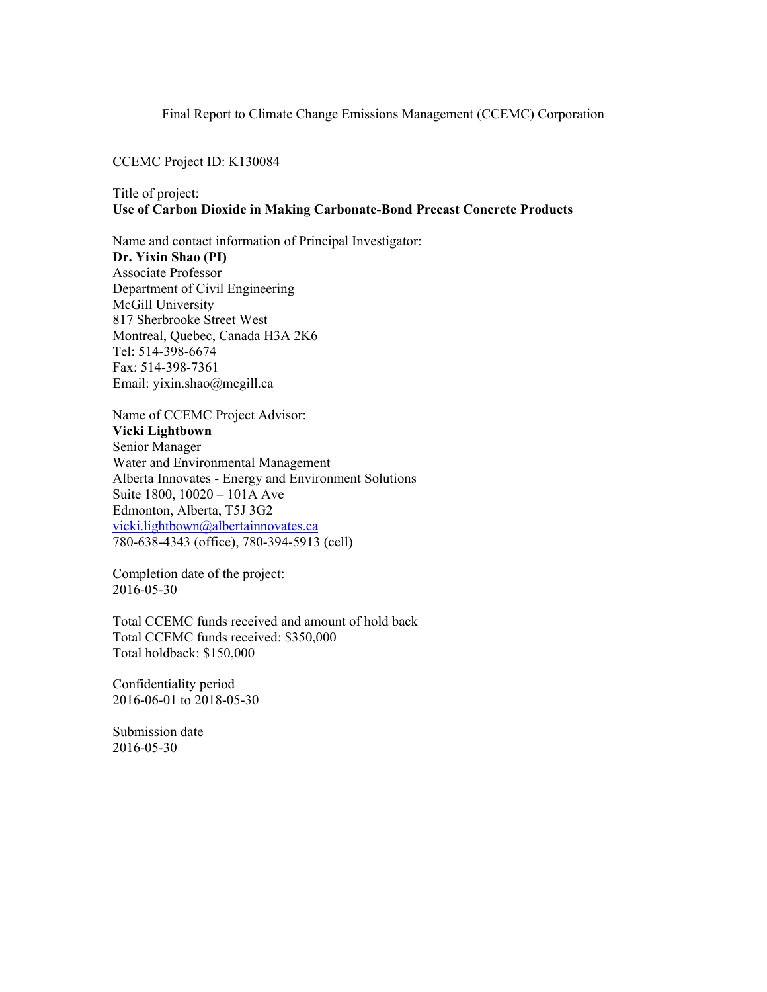#### Final Report to Climate Change Emissions Management (CCEMC) Corporation

#### CCEMC Project ID: K130084

### Title of project: **Use of Carbon Dioxide in Making Carbonate-Bond Precast Concrete Products**

Name and contact information of Principal Investigator: **Dr. Yixin Shao (PI)**  Associate Professor Department of Civil Engineering McGill University 817 Sherbrooke Street West Montreal, Quebec, Canada H3A 2K6 Tel: 514-398-6674 Fax: 514-398-7361 Email: yixin.shao@mcgill.ca

Name of CCEMC Project Advisor: **Vicki Lightbown**  Senior Manager Water and Environmental Management Alberta Innovates - Energy and Environment Solutions Suite 1800, 10020 – 101A Ave Edmonton, Alberta, T5J 3G2 vicki.lightbown@albertainnovates.ca 780-638-4343 (office), 780-394-5913 (cell)

Completion date of the project: 2016-05-30

Total CCEMC funds received and amount of hold back Total CCEMC funds received: \$350,000 Total holdback: \$150,000

Confidentiality period 2016-06-01 to 2018-05-30

Submission date 2016-05-30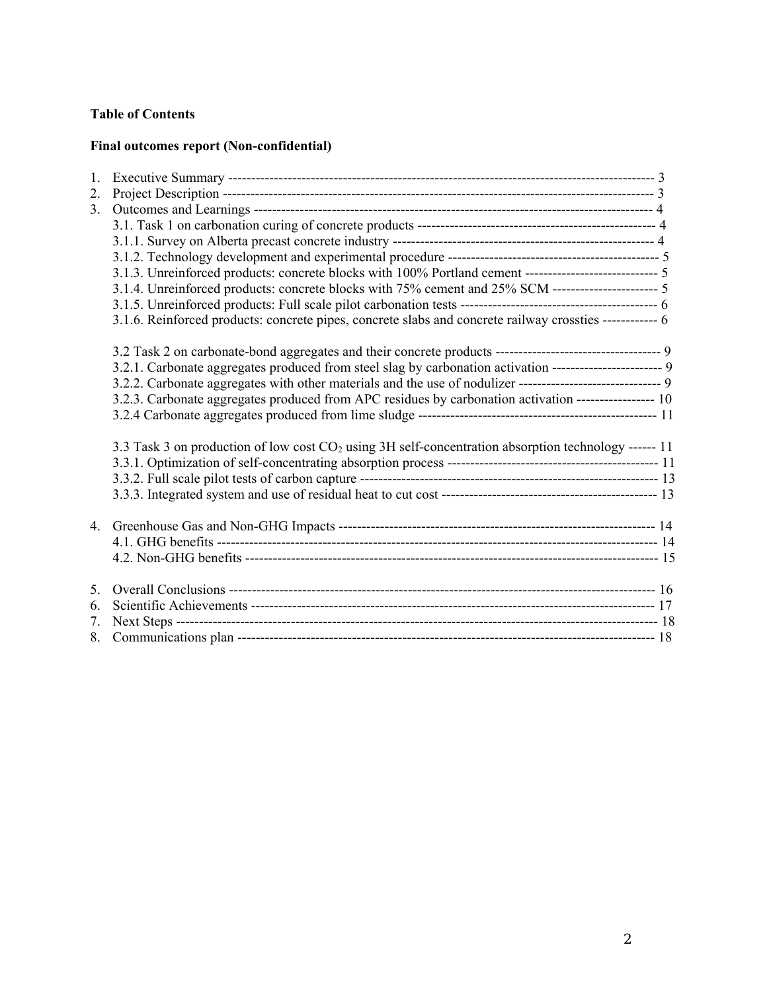# **Table of Contents**

### **Final outcomes report (Non-confidential)**

| 1. |                                                                                                                  |  |
|----|------------------------------------------------------------------------------------------------------------------|--|
| 2. |                                                                                                                  |  |
| 3. |                                                                                                                  |  |
|    |                                                                                                                  |  |
|    |                                                                                                                  |  |
|    |                                                                                                                  |  |
|    | 3.1.3. Unreinforced products: concrete blocks with 100% Portland cement ---------------------------- 5           |  |
|    | 3.1.4. Unreinforced products: concrete blocks with 75% cement and 25% SCM ------------------------ 5             |  |
|    |                                                                                                                  |  |
|    | 3.1.6. Reinforced products: concrete pipes, concrete slabs and concrete railway crossties ------------ 6         |  |
|    |                                                                                                                  |  |
|    | 3.2.1. Carbonate aggregates produced from steel slag by carbonation activation ----------------------- 9         |  |
|    | 3.2.2. Carbonate aggregates with other materials and the use of nodulizer ------------------------------ 9       |  |
|    | 3.2.3. Carbonate aggregates produced from APC residues by carbonation activation ----------------- 10            |  |
|    |                                                                                                                  |  |
|    | 3.3 Task 3 on production of low cost CO <sub>2</sub> using 3H self-concentration absorption technology ------ 11 |  |
|    |                                                                                                                  |  |
|    |                                                                                                                  |  |
|    |                                                                                                                  |  |
|    |                                                                                                                  |  |
|    |                                                                                                                  |  |
|    |                                                                                                                  |  |
| 5. |                                                                                                                  |  |
| 6. |                                                                                                                  |  |
| 7. |                                                                                                                  |  |
|    |                                                                                                                  |  |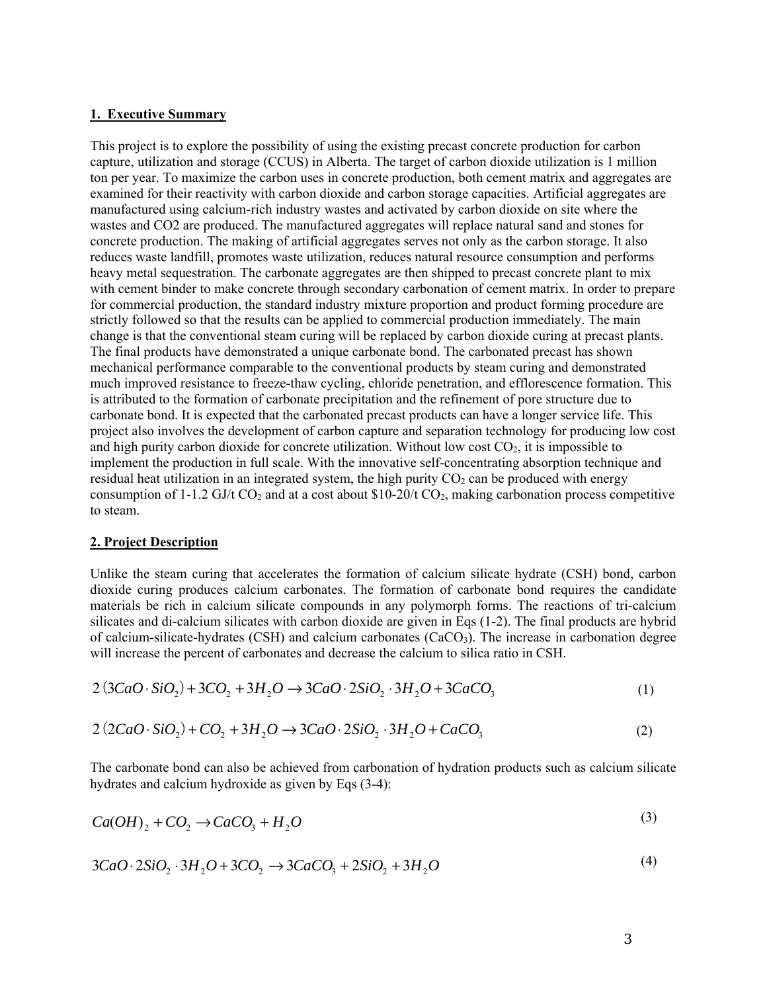#### **1. Executive Summary**

This project is to explore the possibility of using the existing precast concrete production for carbon capture, utilization and storage (CCUS) in Alberta. The target of carbon dioxide utilization is 1 million ton per year. To maximize the carbon uses in concrete production, both cement matrix and aggregates are examined for their reactivity with carbon dioxide and carbon storage capacities. Artificial aggregates are manufactured using calcium-rich industry wastes and activated by carbon dioxide on site where the wastes and CO2 are produced. The manufactured aggregates will replace natural sand and stones for concrete production. The making of artificial aggregates serves not only as the carbon storage. It also reduces waste landfill, promotes waste utilization, reduces natural resource consumption and performs heavy metal sequestration. The carbonate aggregates are then shipped to precast concrete plant to mix with cement binder to make concrete through secondary carbonation of cement matrix. In order to prepare for commercial production, the standard industry mixture proportion and product forming procedure are strictly followed so that the results can be applied to commercial production immediately. The main change is that the conventional steam curing will be replaced by carbon dioxide curing at precast plants. The final products have demonstrated a unique carbonate bond. The carbonated precast has shown mechanical performance comparable to the conventional products by steam curing and demonstrated much improved resistance to freeze-thaw cycling, chloride penetration, and efflorescence formation. This is attributed to the formation of carbonate precipitation and the refinement of pore structure due to carbonate bond. It is expected that the carbonated precast products can have a longer service life. This project also involves the development of carbon capture and separation technology for producing low cost and high purity carbon dioxide for concrete utilization. Without low cost  $CO<sub>2</sub>$ , it is impossible to implement the production in full scale. With the innovative self-concentrating absorption technique and residual heat utilization in an integrated system, the high purity  $CO<sub>2</sub>$  can be produced with energy consumption of 1-1.2 GJ/t  $CO_2$  and at a cost about \$10-20/t  $CO_2$ , making carbonation process competitive to steam.

#### **2. Project Description**

Unlike the steam curing that accelerates the formation of calcium silicate hydrate (CSH) bond, carbon dioxide curing produces calcium carbonates. The formation of carbonate bond requires the candidate materials be rich in calcium silicate compounds in any polymorph forms. The reactions of tri-calcium silicates and di-calcium silicates with carbon dioxide are given in Eqs (1-2). The final products are hybrid of calcium-silicate-hydrates (CSH) and calcium carbonates ( $CaCO<sub>3</sub>$ ). The increase in carbonation degree will increase the percent of carbonates and decrease the calcium to silica ratio in CSH.

$$
2(3CaO \cdot SiO_2) + 3CO_2 + 3H_2O \rightarrow 3CaO \cdot 2SiO_2 \cdot 3H_2O + 3CaCO_3 \tag{1}
$$

$$
2(2CaO \cdot SiO_2) + CO_2 + 3H_2O \rightarrow 3CaO \cdot 2SiO_2 \cdot 3H_2O + CaCO_3 \tag{2}
$$

The carbonate bond can also be achieved from carbonation of hydration products such as calcium silicate hydrates and calcium hydroxide as given by Eqs (3-4):

$$
Ca(OH)_2 + CO_2 \rightarrow CaCO_3 + H_2O \tag{3}
$$

$$
3CaO \cdot 2SiO_2 \cdot 3H_2O + 3CO_2 \rightarrow 3CaCO_3 + 2SiO_2 + 3H_2O \tag{4}
$$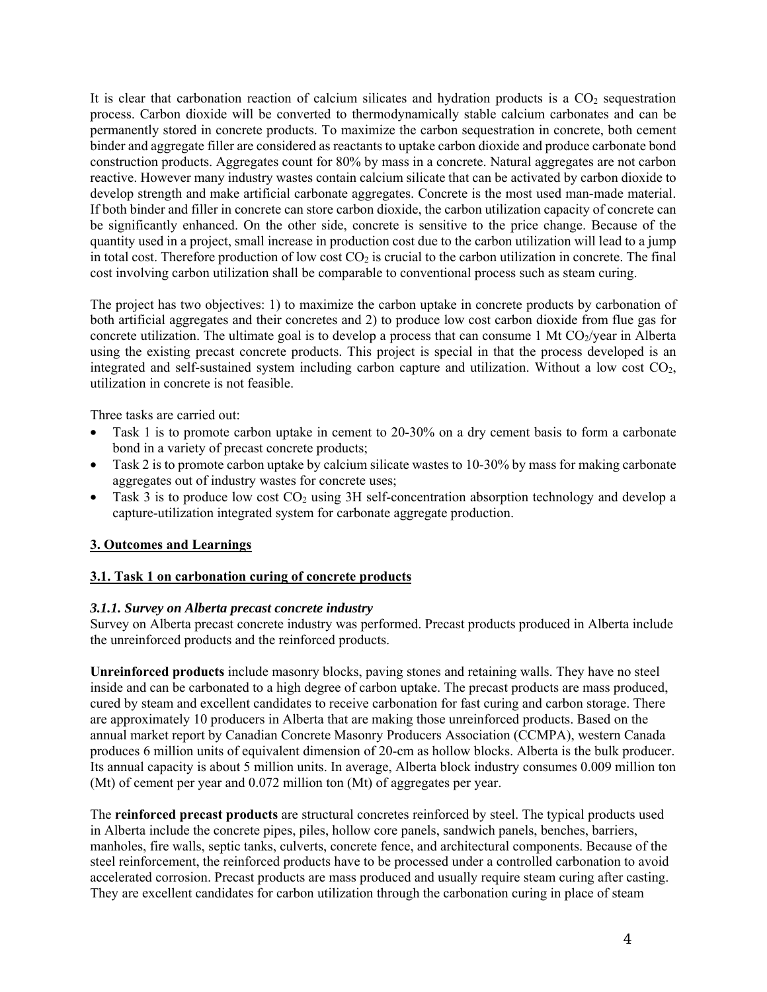It is clear that carbonation reaction of calcium silicates and hydration products is a  $CO<sub>2</sub>$  sequestration process. Carbon dioxide will be converted to thermodynamically stable calcium carbonates and can be permanently stored in concrete products. To maximize the carbon sequestration in concrete, both cement binder and aggregate filler are considered as reactants to uptake carbon dioxide and produce carbonate bond construction products. Aggregates count for 80% by mass in a concrete. Natural aggregates are not carbon reactive. However many industry wastes contain calcium silicate that can be activated by carbon dioxide to develop strength and make artificial carbonate aggregates. Concrete is the most used man-made material. If both binder and filler in concrete can store carbon dioxide, the carbon utilization capacity of concrete can be significantly enhanced. On the other side, concrete is sensitive to the price change. Because of the quantity used in a project, small increase in production cost due to the carbon utilization will lead to a jump in total cost. Therefore production of low cost  $CO<sub>2</sub>$  is crucial to the carbon utilization in concrete. The final cost involving carbon utilization shall be comparable to conventional process such as steam curing.

The project has two objectives: 1) to maximize the carbon uptake in concrete products by carbonation of both artificial aggregates and their concretes and 2) to produce low cost carbon dioxide from flue gas for concrete utilization. The ultimate goal is to develop a process that can consume 1 Mt  $CO<sub>2</sub>/year$  in Alberta using the existing precast concrete products. This project is special in that the process developed is an integrated and self-sustained system including carbon capture and utilization. Without a low cost  $CO<sub>2</sub>$ , utilization in concrete is not feasible.

Three tasks are carried out:

- Task 1 is to promote carbon uptake in cement to 20-30% on a dry cement basis to form a carbonate bond in a variety of precast concrete products;
- Task 2 is to promote carbon uptake by calcium silicate wastes to 10-30% by mass for making carbonate aggregates out of industry wastes for concrete uses;
- Task 3 is to produce low cost  $CO<sub>2</sub>$  using 3H self-concentration absorption technology and develop a capture-utilization integrated system for carbonate aggregate production.

# **3. Outcomes and Learnings**

#### **3.1. Task 1 on carbonation curing of concrete products**

#### *3.1.1. Survey on Alberta precast concrete industry*

Survey on Alberta precast concrete industry was performed. Precast products produced in Alberta include the unreinforced products and the reinforced products.

**Unreinforced products** include masonry blocks, paving stones and retaining walls. They have no steel inside and can be carbonated to a high degree of carbon uptake. The precast products are mass produced, cured by steam and excellent candidates to receive carbonation for fast curing and carbon storage. There are approximately 10 producers in Alberta that are making those unreinforced products. Based on the annual market report by Canadian Concrete Masonry Producers Association (CCMPA), western Canada produces 6 million units of equivalent dimension of 20-cm as hollow blocks. Alberta is the bulk producer. Its annual capacity is about 5 million units. In average, Alberta block industry consumes 0.009 million ton (Mt) of cement per year and 0.072 million ton (Mt) of aggregates per year.

The **reinforced precast products** are structural concretes reinforced by steel. The typical products used in Alberta include the concrete pipes, piles, hollow core panels, sandwich panels, benches, barriers, manholes, fire walls, septic tanks, culverts, concrete fence, and architectural components. Because of the steel reinforcement, the reinforced products have to be processed under a controlled carbonation to avoid accelerated corrosion. Precast products are mass produced and usually require steam curing after casting. They are excellent candidates for carbon utilization through the carbonation curing in place of steam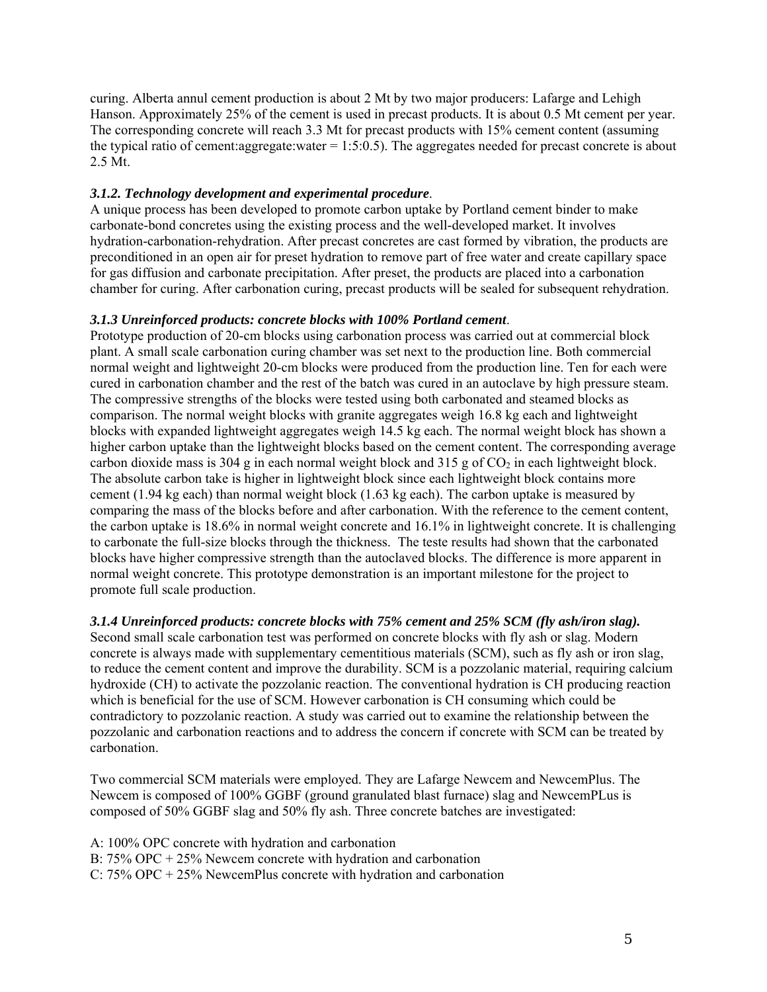curing. Alberta annul cement production is about 2 Mt by two major producers: Lafarge and Lehigh Hanson. Approximately 25% of the cement is used in precast products. It is about 0.5 Mt cement per year. The corresponding concrete will reach 3.3 Mt for precast products with 15% cement content (assuming the typical ratio of cement:aggregate:water = 1:5:0.5). The aggregates needed for precast concrete is about 2.5 Mt.

### *3.1.2. Technology development and experimental procedure*.

A unique process has been developed to promote carbon uptake by Portland cement binder to make carbonate-bond concretes using the existing process and the well-developed market. It involves hydration-carbonation-rehydration. After precast concretes are cast formed by vibration, the products are preconditioned in an open air for preset hydration to remove part of free water and create capillary space for gas diffusion and carbonate precipitation. After preset, the products are placed into a carbonation chamber for curing. After carbonation curing, precast products will be sealed for subsequent rehydration.

### *3.1.3 Unreinforced products: concrete blocks with 100% Portland cement*.

Prototype production of 20-cm blocks using carbonation process was carried out at commercial block plant. A small scale carbonation curing chamber was set next to the production line. Both commercial normal weight and lightweight 20-cm blocks were produced from the production line. Ten for each were cured in carbonation chamber and the rest of the batch was cured in an autoclave by high pressure steam. The compressive strengths of the blocks were tested using both carbonated and steamed blocks as comparison. The normal weight blocks with granite aggregates weigh 16.8 kg each and lightweight blocks with expanded lightweight aggregates weigh 14.5 kg each. The normal weight block has shown a higher carbon uptake than the lightweight blocks based on the cement content. The corresponding average carbon dioxide mass is 304 g in each normal weight block and 315 g of  $CO<sub>2</sub>$  in each lightweight block. The absolute carbon take is higher in lightweight block since each lightweight block contains more cement (1.94 kg each) than normal weight block (1.63 kg each). The carbon uptake is measured by comparing the mass of the blocks before and after carbonation. With the reference to the cement content, the carbon uptake is 18.6% in normal weight concrete and 16.1% in lightweight concrete. It is challenging to carbonate the full-size blocks through the thickness. The teste results had shown that the carbonated blocks have higher compressive strength than the autoclaved blocks. The difference is more apparent in normal weight concrete. This prototype demonstration is an important milestone for the project to promote full scale production.

# *3.1.4 Unreinforced products: concrete blocks with 75% cement and 25% SCM (fly ash/iron slag).*

Second small scale carbonation test was performed on concrete blocks with fly ash or slag. Modern concrete is always made with supplementary cementitious materials (SCM), such as fly ash or iron slag, to reduce the cement content and improve the durability. SCM is a pozzolanic material, requiring calcium hydroxide (CH) to activate the pozzolanic reaction. The conventional hydration is CH producing reaction which is beneficial for the use of SCM. However carbonation is CH consuming which could be contradictory to pozzolanic reaction. A study was carried out to examine the relationship between the pozzolanic and carbonation reactions and to address the concern if concrete with SCM can be treated by carbonation.

Two commercial SCM materials were employed. They are Lafarge Newcem and NewcemPlus. The Newcem is composed of 100% GGBF (ground granulated blast furnace) slag and NewcemPLus is composed of 50% GGBF slag and 50% fly ash. Three concrete batches are investigated:

A: 100% OPC concrete with hydration and carbonation

B: 75% OPC + 25% Newcem concrete with hydration and carbonation

C: 75% OPC + 25% NewcemPlus concrete with hydration and carbonation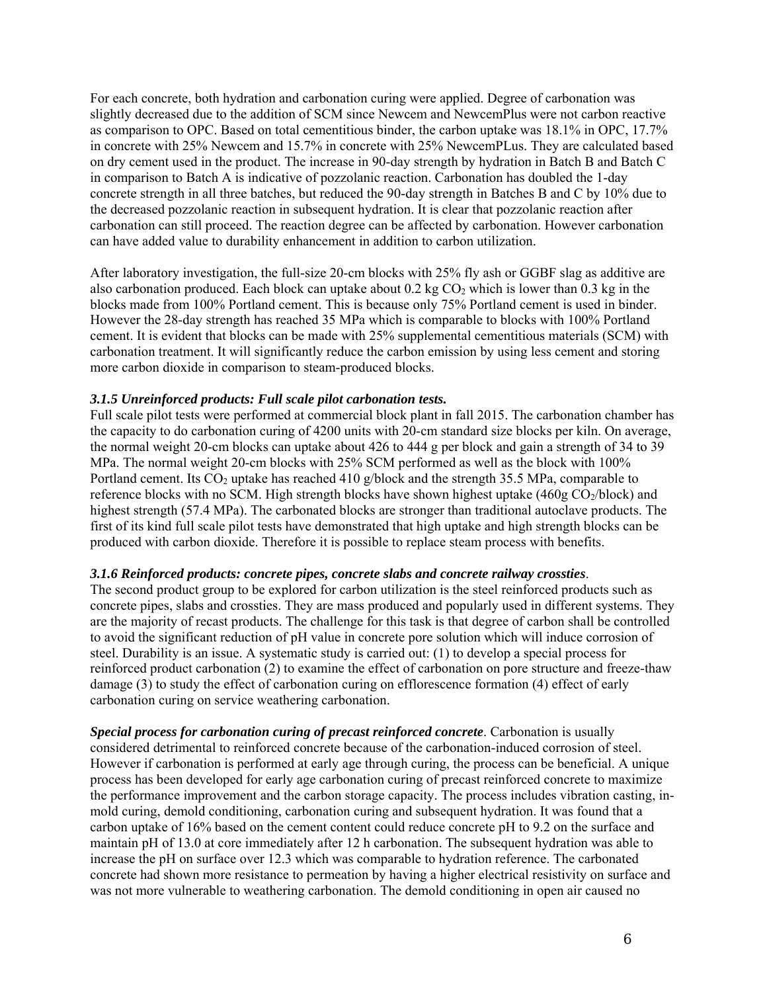For each concrete, both hydration and carbonation curing were applied. Degree of carbonation was slightly decreased due to the addition of SCM since Newcem and NewcemPlus were not carbon reactive as comparison to OPC. Based on total cementitious binder, the carbon uptake was 18.1% in OPC, 17.7% in concrete with 25% Newcem and 15.7% in concrete with 25% NewcemPLus. They are calculated based on dry cement used in the product. The increase in 90-day strength by hydration in Batch B and Batch C in comparison to Batch A is indicative of pozzolanic reaction. Carbonation has doubled the 1-day concrete strength in all three batches, but reduced the 90-day strength in Batches B and C by 10% due to the decreased pozzolanic reaction in subsequent hydration. It is clear that pozzolanic reaction after carbonation can still proceed. The reaction degree can be affected by carbonation. However carbonation can have added value to durability enhancement in addition to carbon utilization.

After laboratory investigation, the full-size 20-cm blocks with 25% fly ash or GGBF slag as additive are also carbonation produced. Each block can uptake about 0.2 kg  $CO<sub>2</sub>$  which is lower than 0.3 kg in the blocks made from 100% Portland cement. This is because only 75% Portland cement is used in binder. However the 28-day strength has reached 35 MPa which is comparable to blocks with 100% Portland cement. It is evident that blocks can be made with 25% supplemental cementitious materials (SCM) with carbonation treatment. It will significantly reduce the carbon emission by using less cement and storing more carbon dioxide in comparison to steam-produced blocks.

#### *3.1.5 Unreinforced products: Full scale pilot carbonation tests.*

Full scale pilot tests were performed at commercial block plant in fall 2015. The carbonation chamber has the capacity to do carbonation curing of 4200 units with 20-cm standard size blocks per kiln. On average, the normal weight 20-cm blocks can uptake about 426 to 444 g per block and gain a strength of 34 to 39 MPa. The normal weight 20-cm blocks with 25% SCM performed as well as the block with 100% Portland cement. Its  $CO_2$  uptake has reached 410 g/block and the strength 35.5 MPa, comparable to reference blocks with no SCM. High strength blocks have shown highest uptake (460g CO<sub>2</sub>/block) and highest strength (57.4 MPa). The carbonated blocks are stronger than traditional autoclave products. The first of its kind full scale pilot tests have demonstrated that high uptake and high strength blocks can be produced with carbon dioxide. Therefore it is possible to replace steam process with benefits.

#### *3.1.6 Reinforced products: concrete pipes, concrete slabs and concrete railway crossties*.

The second product group to be explored for carbon utilization is the steel reinforced products such as concrete pipes, slabs and crossties. They are mass produced and popularly used in different systems. They are the majority of recast products. The challenge for this task is that degree of carbon shall be controlled to avoid the significant reduction of pH value in concrete pore solution which will induce corrosion of steel. Durability is an issue. A systematic study is carried out: (1) to develop a special process for reinforced product carbonation (2) to examine the effect of carbonation on pore structure and freeze-thaw damage (3) to study the effect of carbonation curing on efflorescence formation (4) effect of early carbonation curing on service weathering carbonation.

*Special process for carbonation curing of precast reinforced concrete*. Carbonation is usually considered detrimental to reinforced concrete because of the carbonation-induced corrosion of steel. However if carbonation is performed at early age through curing, the process can be beneficial. A unique process has been developed for early age carbonation curing of precast reinforced concrete to maximize the performance improvement and the carbon storage capacity. The process includes vibration casting, inmold curing, demold conditioning, carbonation curing and subsequent hydration. It was found that a carbon uptake of 16% based on the cement content could reduce concrete pH to 9.2 on the surface and maintain pH of 13.0 at core immediately after 12 h carbonation. The subsequent hydration was able to increase the pH on surface over 12.3 which was comparable to hydration reference. The carbonated concrete had shown more resistance to permeation by having a higher electrical resistivity on surface and was not more vulnerable to weathering carbonation. The demold conditioning in open air caused no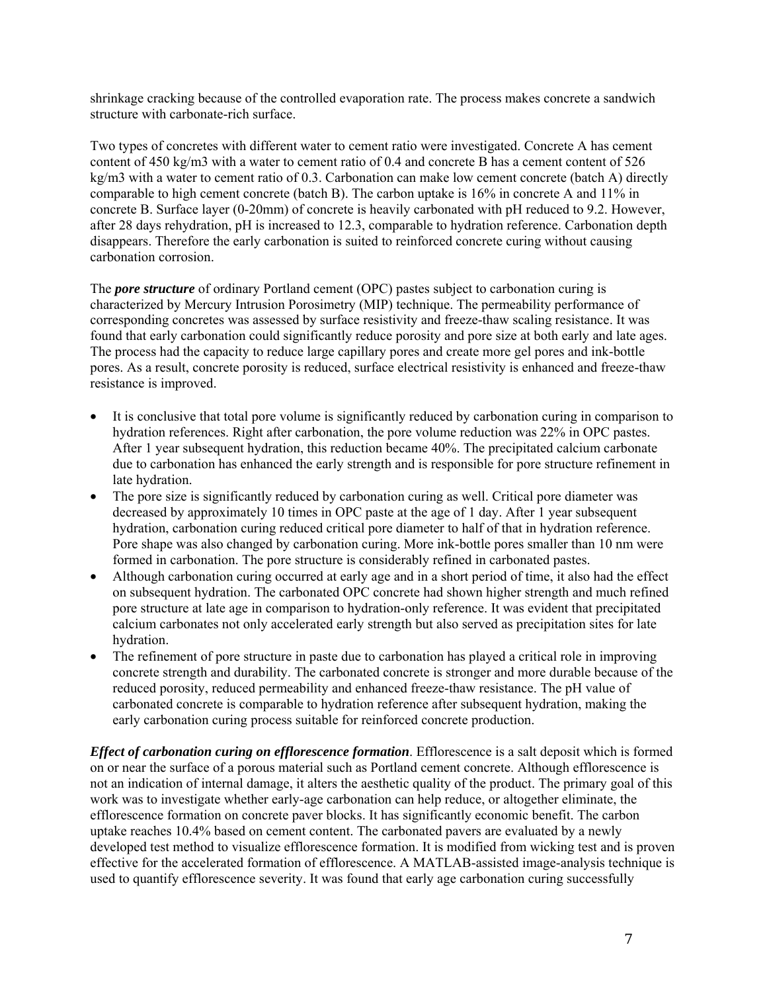shrinkage cracking because of the controlled evaporation rate. The process makes concrete a sandwich structure with carbonate-rich surface.

Two types of concretes with different water to cement ratio were investigated. Concrete A has cement content of 450 kg/m3 with a water to cement ratio of 0.4 and concrete B has a cement content of 526 kg/m3 with a water to cement ratio of 0.3. Carbonation can make low cement concrete (batch A) directly comparable to high cement concrete (batch B). The carbon uptake is 16% in concrete A and 11% in concrete B. Surface layer (0-20mm) of concrete is heavily carbonated with pH reduced to 9.2. However, after 28 days rehydration, pH is increased to 12.3, comparable to hydration reference. Carbonation depth disappears. Therefore the early carbonation is suited to reinforced concrete curing without causing carbonation corrosion.

The *pore structure* of ordinary Portland cement (OPC) pastes subject to carbonation curing is characterized by Mercury Intrusion Porosimetry (MIP) technique. The permeability performance of corresponding concretes was assessed by surface resistivity and freeze-thaw scaling resistance. It was found that early carbonation could significantly reduce porosity and pore size at both early and late ages. The process had the capacity to reduce large capillary pores and create more gel pores and ink-bottle pores. As a result, concrete porosity is reduced, surface electrical resistivity is enhanced and freeze-thaw resistance is improved.

- It is conclusive that total pore volume is significantly reduced by carbonation curing in comparison to hydration references. Right after carbonation, the pore volume reduction was 22% in OPC pastes. After 1 year subsequent hydration, this reduction became 40%. The precipitated calcium carbonate due to carbonation has enhanced the early strength and is responsible for pore structure refinement in late hydration.
- The pore size is significantly reduced by carbonation curing as well. Critical pore diameter was decreased by approximately 10 times in OPC paste at the age of 1 day. After 1 year subsequent hydration, carbonation curing reduced critical pore diameter to half of that in hydration reference. Pore shape was also changed by carbonation curing. More ink-bottle pores smaller than 10 nm were formed in carbonation. The pore structure is considerably refined in carbonated pastes.
- Although carbonation curing occurred at early age and in a short period of time, it also had the effect on subsequent hydration. The carbonated OPC concrete had shown higher strength and much refined pore structure at late age in comparison to hydration-only reference. It was evident that precipitated calcium carbonates not only accelerated early strength but also served as precipitation sites for late hydration.
- The refinement of pore structure in paste due to carbonation has played a critical role in improving concrete strength and durability. The carbonated concrete is stronger and more durable because of the reduced porosity, reduced permeability and enhanced freeze-thaw resistance. The pH value of carbonated concrete is comparable to hydration reference after subsequent hydration, making the early carbonation curing process suitable for reinforced concrete production.

*Effect of carbonation curing on efflorescence formation*. Efflorescence is a salt deposit which is formed on or near the surface of a porous material such as Portland cement concrete. Although efflorescence is not an indication of internal damage, it alters the aesthetic quality of the product. The primary goal of this work was to investigate whether early-age carbonation can help reduce, or altogether eliminate, the efflorescence formation on concrete paver blocks. It has significantly economic benefit. The carbon uptake reaches 10.4% based on cement content. The carbonated pavers are evaluated by a newly developed test method to visualize efflorescence formation. It is modified from wicking test and is proven effective for the accelerated formation of efflorescence. A MATLAB-assisted image-analysis technique is used to quantify efflorescence severity. It was found that early age carbonation curing successfully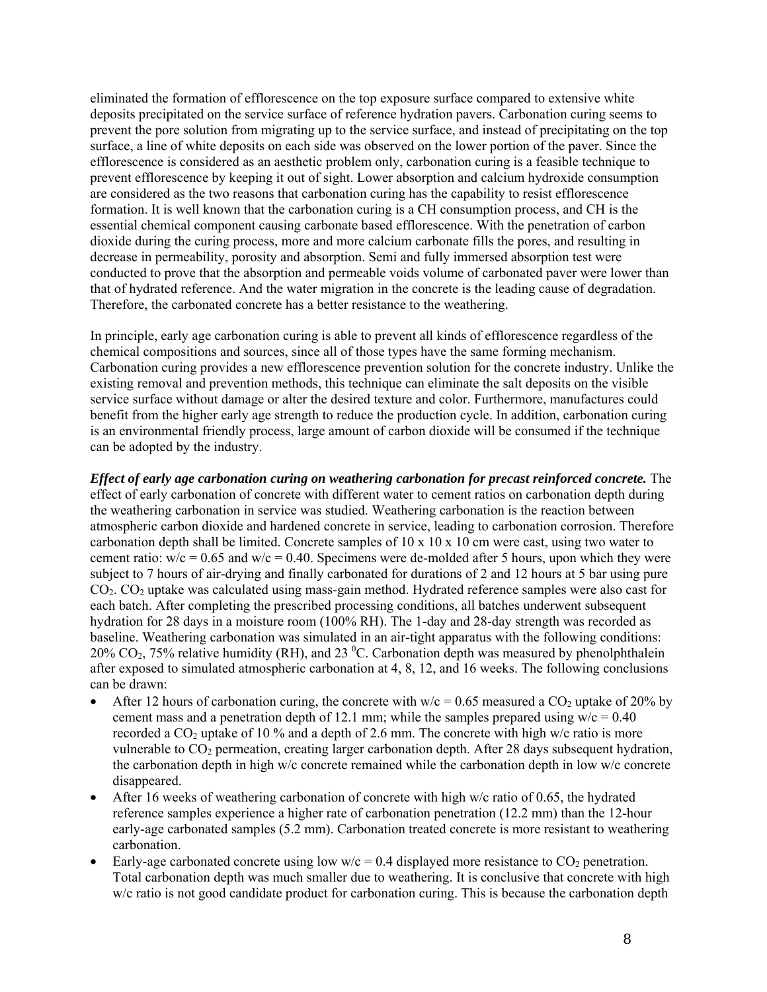eliminated the formation of efflorescence on the top exposure surface compared to extensive white deposits precipitated on the service surface of reference hydration pavers. Carbonation curing seems to prevent the pore solution from migrating up to the service surface, and instead of precipitating on the top surface, a line of white deposits on each side was observed on the lower portion of the paver. Since the efflorescence is considered as an aesthetic problem only, carbonation curing is a feasible technique to prevent efflorescence by keeping it out of sight. Lower absorption and calcium hydroxide consumption are considered as the two reasons that carbonation curing has the capability to resist efflorescence formation. It is well known that the carbonation curing is a CH consumption process, and CH is the essential chemical component causing carbonate based efflorescence. With the penetration of carbon dioxide during the curing process, more and more calcium carbonate fills the pores, and resulting in decrease in permeability, porosity and absorption. Semi and fully immersed absorption test were conducted to prove that the absorption and permeable voids volume of carbonated paver were lower than that of hydrated reference. And the water migration in the concrete is the leading cause of degradation. Therefore, the carbonated concrete has a better resistance to the weathering.

In principle, early age carbonation curing is able to prevent all kinds of efflorescence regardless of the chemical compositions and sources, since all of those types have the same forming mechanism. Carbonation curing provides a new efflorescence prevention solution for the concrete industry. Unlike the existing removal and prevention methods, this technique can eliminate the salt deposits on the visible service surface without damage or alter the desired texture and color. Furthermore, manufactures could benefit from the higher early age strength to reduce the production cycle. In addition, carbonation curing is an environmental friendly process, large amount of carbon dioxide will be consumed if the technique can be adopted by the industry.

*Effect of early age carbonation curing on weathering carbonation for precast reinforced concrete.* The effect of early carbonation of concrete with different water to cement ratios on carbonation depth during the weathering carbonation in service was studied. Weathering carbonation is the reaction between atmospheric carbon dioxide and hardened concrete in service, leading to carbonation corrosion. Therefore carbonation depth shall be limited. Concrete samples of  $10 \times 10 \times 10$  cm were cast, using two water to cement ratio:  $w/c = 0.65$  and  $w/c = 0.40$ . Specimens were de-molded after 5 hours, upon which they were subject to 7 hours of air-drying and finally carbonated for durations of 2 and 12 hours at 5 bar using pure  $CO<sub>2</sub>$ .  $CO<sub>2</sub>$  uptake was calculated using mass-gain method. Hydrated reference samples were also cast for each batch. After completing the prescribed processing conditions, all batches underwent subsequent hydration for 28 days in a moisture room (100% RH). The 1-day and 28-day strength was recorded as baseline. Weathering carbonation was simulated in an air-tight apparatus with the following conditions: 20% CO<sub>2</sub>, 75% relative humidity (RH), and 23 <sup>0</sup>C. Carbonation depth was measured by phenolphthalein after exposed to simulated atmospheric carbonation at 4, 8, 12, and 16 weeks. The following conclusions can be drawn:

- After 12 hours of carbonation curing, the concrete with  $w/c = 0.65$  measured a CO<sub>2</sub> uptake of 20% by cement mass and a penetration depth of 12.1 mm; while the samples prepared using  $w/c = 0.40$ recorded a  $CO<sub>2</sub>$  uptake of 10 % and a depth of 2.6 mm. The concrete with high w/c ratio is more vulnerable to  $CO<sub>2</sub>$  permeation, creating larger carbonation depth. After 28 days subsequent hydration, the carbonation depth in high w/c concrete remained while the carbonation depth in low w/c concrete disappeared.
- After 16 weeks of weathering carbonation of concrete with high w/c ratio of 0.65, the hydrated reference samples experience a higher rate of carbonation penetration (12.2 mm) than the 12-hour early-age carbonated samples (5.2 mm). Carbonation treated concrete is more resistant to weathering carbonation.
- Early-age carbonated concrete using low  $w/c = 0.4$  displayed more resistance to  $CO_2$  penetration. Total carbonation depth was much smaller due to weathering. It is conclusive that concrete with high w/c ratio is not good candidate product for carbonation curing. This is because the carbonation depth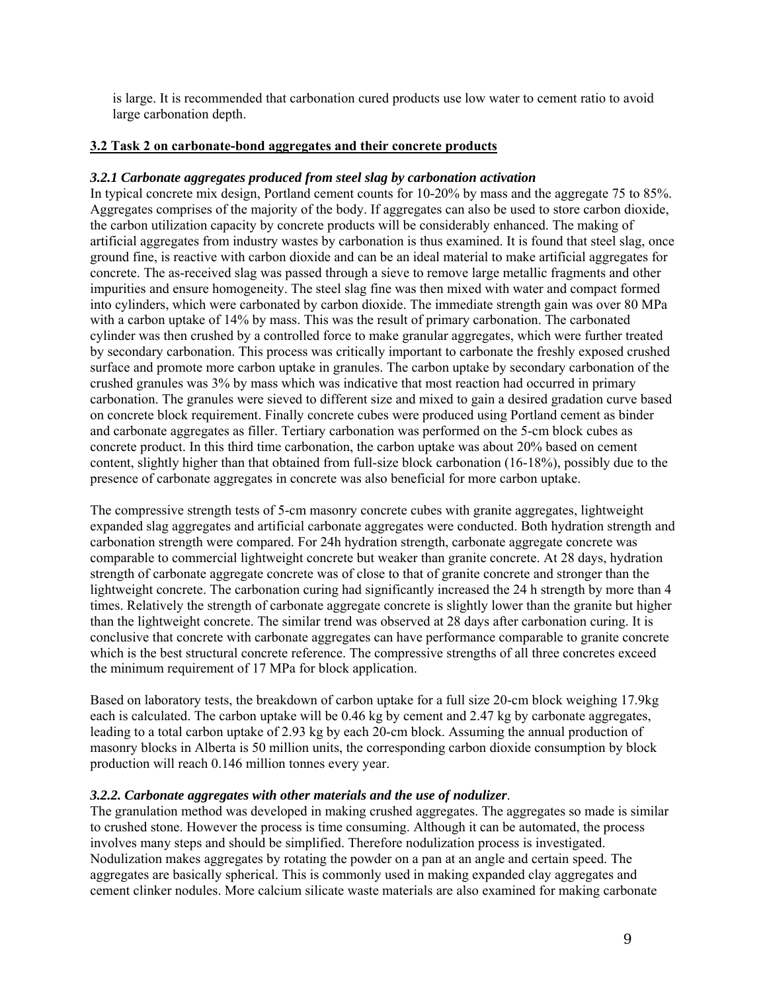is large. It is recommended that carbonation cured products use low water to cement ratio to avoid large carbonation depth.

#### **3.2 Task 2 on carbonate-bond aggregates and their concrete products**

#### *3.2.1 Carbonate aggregates produced from steel slag by carbonation activation*

In typical concrete mix design, Portland cement counts for 10-20% by mass and the aggregate 75 to 85%. Aggregates comprises of the majority of the body. If aggregates can also be used to store carbon dioxide, the carbon utilization capacity by concrete products will be considerably enhanced. The making of artificial aggregates from industry wastes by carbonation is thus examined. It is found that steel slag, once ground fine, is reactive with carbon dioxide and can be an ideal material to make artificial aggregates for concrete. The as-received slag was passed through a sieve to remove large metallic fragments and other impurities and ensure homogeneity. The steel slag fine was then mixed with water and compact formed into cylinders, which were carbonated by carbon dioxide. The immediate strength gain was over 80 MPa with a carbon uptake of 14% by mass. This was the result of primary carbonation. The carbonated cylinder was then crushed by a controlled force to make granular aggregates, which were further treated by secondary carbonation. This process was critically important to carbonate the freshly exposed crushed surface and promote more carbon uptake in granules. The carbon uptake by secondary carbonation of the crushed granules was 3% by mass which was indicative that most reaction had occurred in primary carbonation. The granules were sieved to different size and mixed to gain a desired gradation curve based on concrete block requirement. Finally concrete cubes were produced using Portland cement as binder and carbonate aggregates as filler. Tertiary carbonation was performed on the 5-cm block cubes as concrete product. In this third time carbonation, the carbon uptake was about 20% based on cement content, slightly higher than that obtained from full-size block carbonation (16-18%), possibly due to the presence of carbonate aggregates in concrete was also beneficial for more carbon uptake.

The compressive strength tests of 5-cm masonry concrete cubes with granite aggregates, lightweight expanded slag aggregates and artificial carbonate aggregates were conducted. Both hydration strength and carbonation strength were compared. For 24h hydration strength, carbonate aggregate concrete was comparable to commercial lightweight concrete but weaker than granite concrete. At 28 days, hydration strength of carbonate aggregate concrete was of close to that of granite concrete and stronger than the lightweight concrete. The carbonation curing had significantly increased the 24 h strength by more than 4 times. Relatively the strength of carbonate aggregate concrete is slightly lower than the granite but higher than the lightweight concrete. The similar trend was observed at 28 days after carbonation curing. It is conclusive that concrete with carbonate aggregates can have performance comparable to granite concrete which is the best structural concrete reference. The compressive strengths of all three concretes exceed the minimum requirement of 17 MPa for block application.

Based on laboratory tests, the breakdown of carbon uptake for a full size 20-cm block weighing 17.9kg each is calculated. The carbon uptake will be 0.46 kg by cement and 2.47 kg by carbonate aggregates, leading to a total carbon uptake of 2.93 kg by each 20-cm block. Assuming the annual production of masonry blocks in Alberta is 50 million units, the corresponding carbon dioxide consumption by block production will reach 0.146 million tonnes every year.

#### *3.2.2. Carbonate aggregates with other materials and the use of nodulizer*.

The granulation method was developed in making crushed aggregates. The aggregates so made is similar to crushed stone. However the process is time consuming. Although it can be automated, the process involves many steps and should be simplified. Therefore nodulization process is investigated. Nodulization makes aggregates by rotating the powder on a pan at an angle and certain speed. The aggregates are basically spherical. This is commonly used in making expanded clay aggregates and cement clinker nodules. More calcium silicate waste materials are also examined for making carbonate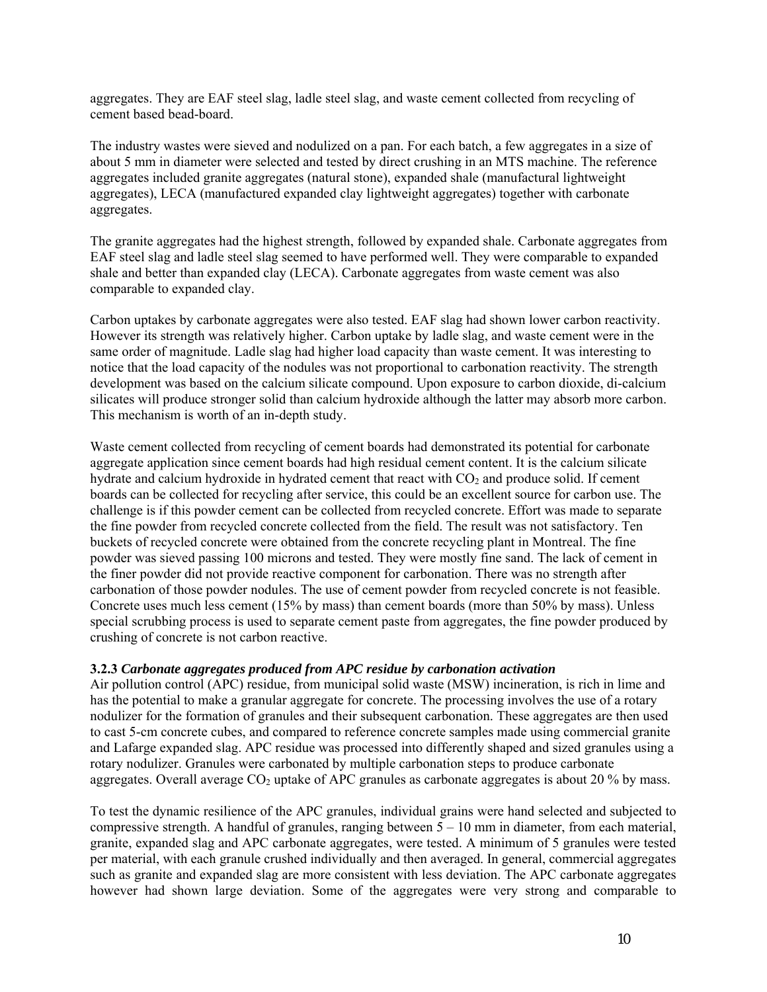aggregates. They are EAF steel slag, ladle steel slag, and waste cement collected from recycling of cement based bead-board.

The industry wastes were sieved and nodulized on a pan. For each batch, a few aggregates in a size of about 5 mm in diameter were selected and tested by direct crushing in an MTS machine. The reference aggregates included granite aggregates (natural stone), expanded shale (manufactural lightweight aggregates), LECA (manufactured expanded clay lightweight aggregates) together with carbonate aggregates.

The granite aggregates had the highest strength, followed by expanded shale. Carbonate aggregates from EAF steel slag and ladle steel slag seemed to have performed well. They were comparable to expanded shale and better than expanded clay (LECA). Carbonate aggregates from waste cement was also comparable to expanded clay.

Carbon uptakes by carbonate aggregates were also tested. EAF slag had shown lower carbon reactivity. However its strength was relatively higher. Carbon uptake by ladle slag, and waste cement were in the same order of magnitude. Ladle slag had higher load capacity than waste cement. It was interesting to notice that the load capacity of the nodules was not proportional to carbonation reactivity. The strength development was based on the calcium silicate compound. Upon exposure to carbon dioxide, di-calcium silicates will produce stronger solid than calcium hydroxide although the latter may absorb more carbon. This mechanism is worth of an in-depth study.

Waste cement collected from recycling of cement boards had demonstrated its potential for carbonate aggregate application since cement boards had high residual cement content. It is the calcium silicate hydrate and calcium hydroxide in hydrated cement that react with CO<sub>2</sub> and produce solid. If cement boards can be collected for recycling after service, this could be an excellent source for carbon use. The challenge is if this powder cement can be collected from recycled concrete. Effort was made to separate the fine powder from recycled concrete collected from the field. The result was not satisfactory. Ten buckets of recycled concrete were obtained from the concrete recycling plant in Montreal. The fine powder was sieved passing 100 microns and tested. They were mostly fine sand. The lack of cement in the finer powder did not provide reactive component for carbonation. There was no strength after carbonation of those powder nodules. The use of cement powder from recycled concrete is not feasible. Concrete uses much less cement (15% by mass) than cement boards (more than 50% by mass). Unless special scrubbing process is used to separate cement paste from aggregates, the fine powder produced by crushing of concrete is not carbon reactive.

#### **3.2.3** *Carbonate aggregates produced from APC residue by carbonation activation*

Air pollution control (APC) residue, from municipal solid waste (MSW) incineration, is rich in lime and has the potential to make a granular aggregate for concrete. The processing involves the use of a rotary nodulizer for the formation of granules and their subsequent carbonation. These aggregates are then used to cast 5-cm concrete cubes, and compared to reference concrete samples made using commercial granite and Lafarge expanded slag. APC residue was processed into differently shaped and sized granules using a rotary nodulizer. Granules were carbonated by multiple carbonation steps to produce carbonate aggregates. Overall average  $CO<sub>2</sub>$  uptake of APC granules as carbonate aggregates is about 20 % by mass.

To test the dynamic resilience of the APC granules, individual grains were hand selected and subjected to compressive strength. A handful of granules, ranging between  $5 - 10$  mm in diameter, from each material, granite, expanded slag and APC carbonate aggregates, were tested. A minimum of 5 granules were tested per material, with each granule crushed individually and then averaged. In general, commercial aggregates such as granite and expanded slag are more consistent with less deviation. The APC carbonate aggregates however had shown large deviation. Some of the aggregates were very strong and comparable to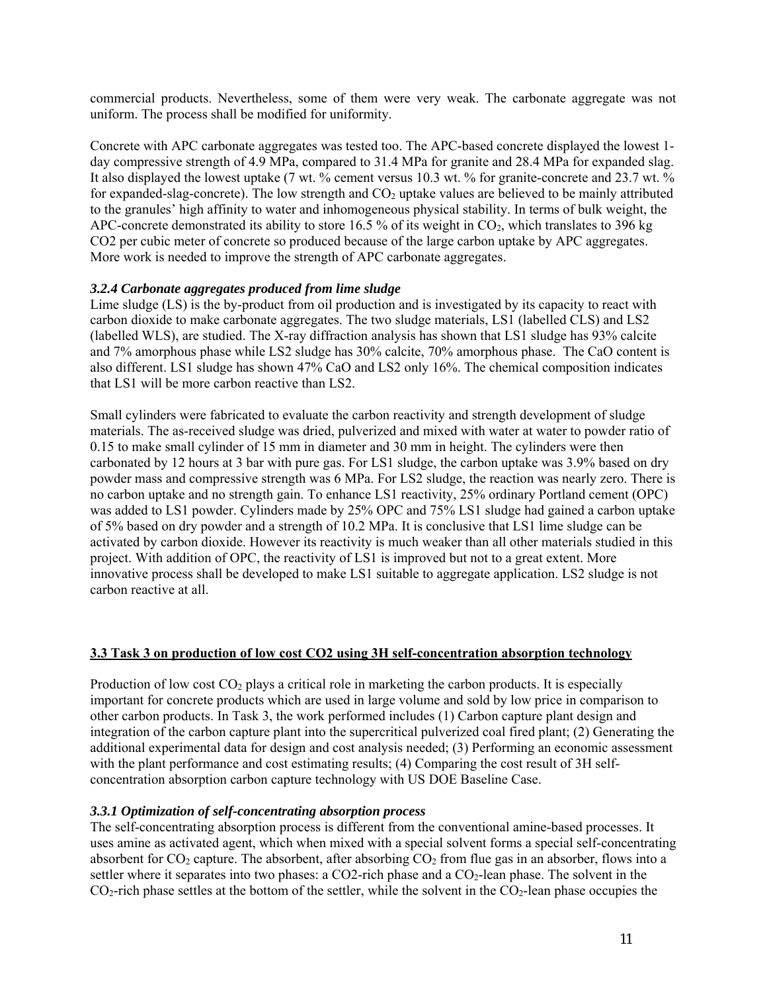commercial products. Nevertheless, some of them were very weak. The carbonate aggregate was not uniform. The process shall be modified for uniformity.

Concrete with APC carbonate aggregates was tested too. The APC-based concrete displayed the lowest 1 day compressive strength of 4.9 MPa, compared to 31.4 MPa for granite and 28.4 MPa for expanded slag. It also displayed the lowest uptake (7 wt. % cement versus 10.3 wt. % for granite-concrete and 23.7 wt. % for expanded-slag-concrete). The low strength and  $CO<sub>2</sub>$  uptake values are believed to be mainly attributed to the granules' high affinity to water and inhomogeneous physical stability. In terms of bulk weight, the APC-concrete demonstrated its ability to store 16.5 % of its weight in  $CO<sub>2</sub>$ , which translates to 396 kg CO2 per cubic meter of concrete so produced because of the large carbon uptake by APC aggregates. More work is needed to improve the strength of APC carbonate aggregates.

### *3.2.4 Carbonate aggregates produced from lime sludge*

Lime sludge (LS) is the by-product from oil production and is investigated by its capacity to react with carbon dioxide to make carbonate aggregates. The two sludge materials, LS1 (labelled CLS) and LS2 (labelled WLS), are studied. The X-ray diffraction analysis has shown that LS1 sludge has 93% calcite and 7% amorphous phase while LS2 sludge has 30% calcite, 70% amorphous phase. The CaO content is also different. LS1 sludge has shown 47% CaO and LS2 only 16%. The chemical composition indicates that LS1 will be more carbon reactive than LS2.

Small cylinders were fabricated to evaluate the carbon reactivity and strength development of sludge materials. The as-received sludge was dried, pulverized and mixed with water at water to powder ratio of 0.15 to make small cylinder of 15 mm in diameter and 30 mm in height. The cylinders were then carbonated by 12 hours at 3 bar with pure gas. For LS1 sludge, the carbon uptake was 3.9% based on dry powder mass and compressive strength was 6 MPa. For LS2 sludge, the reaction was nearly zero. There is no carbon uptake and no strength gain. To enhance LS1 reactivity, 25% ordinary Portland cement (OPC) was added to LS1 powder. Cylinders made by 25% OPC and 75% LS1 sludge had gained a carbon uptake of 5% based on dry powder and a strength of 10.2 MPa. It is conclusive that LS1 lime sludge can be activated by carbon dioxide. However its reactivity is much weaker than all other materials studied in this project. With addition of OPC, the reactivity of LS1 is improved but not to a great extent. More innovative process shall be developed to make LS1 suitable to aggregate application. LS2 sludge is not carbon reactive at all.

#### **3.3 Task 3 on production of low cost CO2 using 3H self-concentration absorption technology**

Production of low cost  $CO<sub>2</sub>$  plays a critical role in marketing the carbon products. It is especially important for concrete products which are used in large volume and sold by low price in comparison to other carbon products. In Task 3, the work performed includes (1) Carbon capture plant design and integration of the carbon capture plant into the supercritical pulverized coal fired plant; (2) Generating the additional experimental data for design and cost analysis needed; (3) Performing an economic assessment with the plant performance and cost estimating results; (4) Comparing the cost result of 3H selfconcentration absorption carbon capture technology with US DOE Baseline Case.

#### *3.3.1 Optimization of self-concentrating absorption process*

The self-concentrating absorption process is different from the conventional amine-based processes. It uses amine as activated agent, which when mixed with a special solvent forms a special self-concentrating absorbent for  $CO_2$  capture. The absorbent, after absorbing  $CO_2$  from flue gas in an absorber, flows into a settler where it separates into two phases: a CO2-rich phase and a CO<sub>2</sub>-lean phase. The solvent in the  $CO<sub>2</sub>$ -rich phase settles at the bottom of the settler, while the solvent in the  $CO<sub>2</sub>$ -lean phase occupies the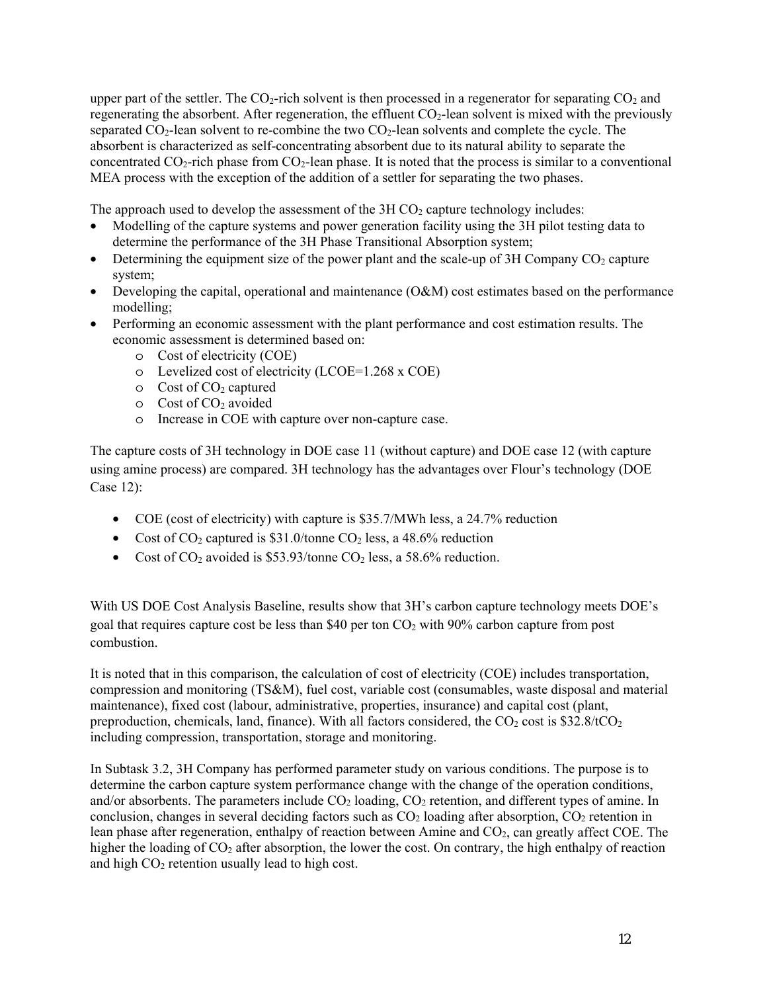upper part of the settler. The  $CO<sub>2</sub>$ -rich solvent is then processed in a regenerator for separating  $CO<sub>2</sub>$  and regenerating the absorbent. After regeneration, the effluent  $CO<sub>2</sub>$ -lean solvent is mixed with the previously separated  $CO_2$ -lean solvent to re-combine the two  $CO_2$ -lean solvents and complete the cycle. The absorbent is characterized as self-concentrating absorbent due to its natural ability to separate the concentrated  $CO_2$ -rich phase from  $CO_2$ -lean phase. It is noted that the process is similar to a conventional MEA process with the exception of the addition of a settler for separating the two phases.

The approach used to develop the assessment of the  $3H CO<sub>2</sub>$  capture technology includes:

- Modelling of the capture systems and power generation facility using the 3H pilot testing data to determine the performance of the 3H Phase Transitional Absorption system;
- Determining the equipment size of the power plant and the scale-up of  $3H$  Company  $CO<sub>2</sub>$  capture system;
- Developing the capital, operational and maintenance (O&M) cost estimates based on the performance modelling;
- Performing an economic assessment with the plant performance and cost estimation results. The economic assessment is determined based on:
	- o Cost of electricity (COE)
	- o Levelized cost of electricity (LCOE=1.268 x COE)
	- $\circ$  Cost of CO<sub>2</sub> captured
	- $\circ$  Cost of CO<sub>2</sub> avoided
	- o Increase in COE with capture over non-capture case.

The capture costs of 3H technology in DOE case 11 (without capture) and DOE case 12 (with capture using amine process) are compared. 3H technology has the advantages over Flour's technology (DOE Case 12):

- COE (cost of electricity) with capture is \$35.7/MWh less, a 24.7% reduction
- Cost of  $CO_2$  captured is \$31.0/tonne  $CO_2$  less, a 48.6% reduction
- Cost of  $CO_2$  avoided is \$53.93/tonne  $CO_2$  less, a 58.6% reduction.

With US DOE Cost Analysis Baseline, results show that 3H's carbon capture technology meets DOE's goal that requires capture cost be less than \$40 per ton  $CO<sub>2</sub>$  with 90% carbon capture from post combustion.

It is noted that in this comparison, the calculation of cost of electricity (COE) includes transportation, compression and monitoring (TS&M), fuel cost, variable cost (consumables, waste disposal and material maintenance), fixed cost (labour, administrative, properties, insurance) and capital cost (plant, preproduction, chemicals, land, finance). With all factors considered, the  $CO_2$  cost is \$32.8/t $CO_2$ including compression, transportation, storage and monitoring.

In Subtask 3.2, 3H Company has performed parameter study on various conditions. The purpose is to determine the carbon capture system performance change with the change of the operation conditions, and/or absorbents. The parameters include CO<sub>2</sub> loading, CO<sub>2</sub> retention, and different types of amine. In conclusion, changes in several deciding factors such as  $CO<sub>2</sub>$  loading after absorption,  $CO<sub>2</sub>$  retention in lean phase after regeneration, enthalpy of reaction between Amine and CO2, can greatly affect COE. The higher the loading of CO<sub>2</sub> after absorption, the lower the cost. On contrary, the high enthalpy of reaction and high  $CO<sub>2</sub>$  retention usually lead to high cost.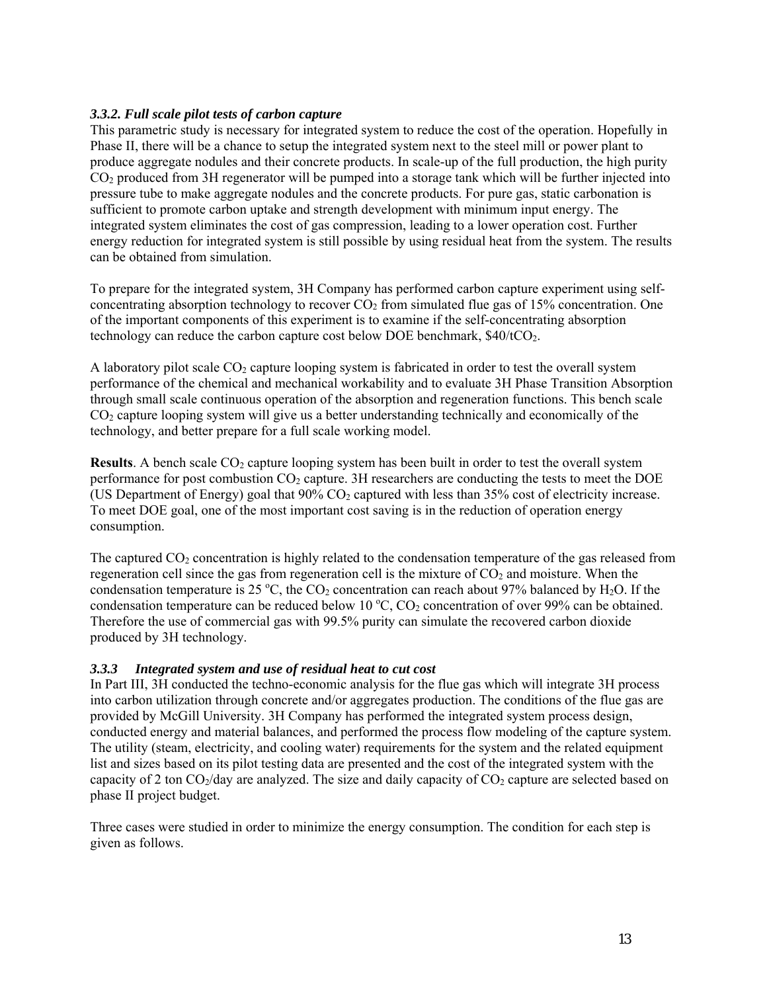### *3.3.2. Full scale pilot tests of carbon capture*

This parametric study is necessary for integrated system to reduce the cost of the operation. Hopefully in Phase II, there will be a chance to setup the integrated system next to the steel mill or power plant to produce aggregate nodules and their concrete products. In scale-up of the full production, the high purity CO2 produced from 3H regenerator will be pumped into a storage tank which will be further injected into pressure tube to make aggregate nodules and the concrete products. For pure gas, static carbonation is sufficient to promote carbon uptake and strength development with minimum input energy. The integrated system eliminates the cost of gas compression, leading to a lower operation cost. Further energy reduction for integrated system is still possible by using residual heat from the system. The results can be obtained from simulation.

To prepare for the integrated system, 3H Company has performed carbon capture experiment using selfconcentrating absorption technology to recover  $CO<sub>2</sub>$  from simulated flue gas of 15% concentration. One of the important components of this experiment is to examine if the self-concentrating absorption technology can reduce the carbon capture cost below DOE benchmark,  $$40/tCO<sub>2</sub>$ .

A laboratory pilot scale  $CO<sub>2</sub>$  capture looping system is fabricated in order to test the overall system performance of the chemical and mechanical workability and to evaluate 3H Phase Transition Absorption through small scale continuous operation of the absorption and regeneration functions. This bench scale CO2 capture looping system will give us a better understanding technically and economically of the technology, and better prepare for a full scale working model.

**Results**. A bench scale CO<sub>2</sub> capture looping system has been built in order to test the overall system performance for post combustion  $CO<sub>2</sub>$  capture. 3H researchers are conducting the tests to meet the DOE (US Department of Energy) goal that 90% CO2 captured with less than 35% cost of electricity increase. To meet DOE goal, one of the most important cost saving is in the reduction of operation energy consumption.

The captured  $CO<sub>2</sub>$  concentration is highly related to the condensation temperature of the gas released from regeneration cell since the gas from regeneration cell is the mixture of  $CO<sub>2</sub>$  and moisture. When the condensation temperature is 25 °C, the  $CO<sub>2</sub>$  concentration can reach about 97% balanced by H<sub>2</sub>O. If the condensation temperature can be reduced below 10  $\degree$ C, CO<sub>2</sub> concentration of over 99% can be obtained. Therefore the use of commercial gas with 99.5% purity can simulate the recovered carbon dioxide produced by 3H technology.

#### *3.3.3 Integrated system and use of residual heat to cut cost*

In Part III, 3H conducted the techno-economic analysis for the flue gas which will integrate 3H process into carbon utilization through concrete and/or aggregates production. The conditions of the flue gas are provided by McGill University. 3H Company has performed the integrated system process design, conducted energy and material balances, and performed the process flow modeling of the capture system. The utility (steam, electricity, and cooling water) requirements for the system and the related equipment list and sizes based on its pilot testing data are presented and the cost of the integrated system with the capacity of 2 ton  $CO_2$ /day are analyzed. The size and daily capacity of  $CO_2$  capture are selected based on phase II project budget.

Three cases were studied in order to minimize the energy consumption. The condition for each step is given as follows.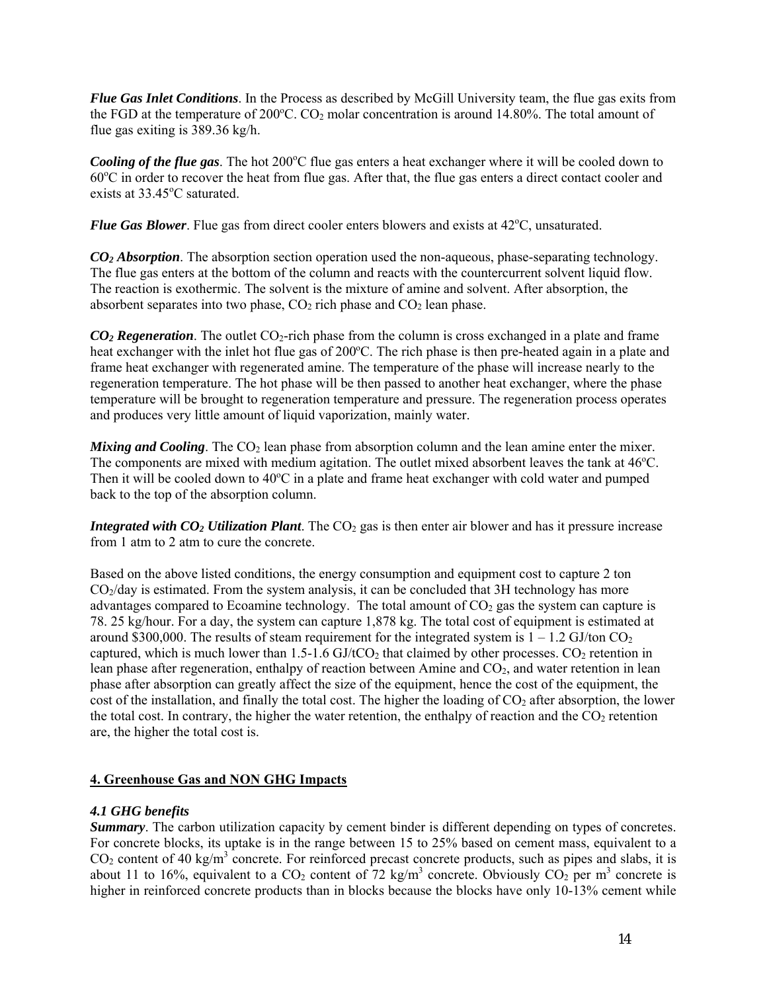*Flue Gas Inlet Conditions*. In the Process as described by McGill University team, the flue gas exits from the FGD at the temperature of  $200^{\circ}$ C. CO<sub>2</sub> molar concentration is around 14.80%. The total amount of flue gas exiting is 389.36 kg/h.

Cooling of the flue gas. The hot 200°C flue gas enters a heat exchanger where it will be cooled down to 60°C in order to recover the heat from flue gas. After that, the flue gas enters a direct contact cooler and exists at 33.45°C saturated.

**Flue Gas Blower**. Flue gas from direct cooler enters blowers and exists at 42°C, unsaturated.

*CO2 Absorption*. The absorption section operation used the non-aqueous, phase-separating technology. The flue gas enters at the bottom of the column and reacts with the countercurrent solvent liquid flow. The reaction is exothermic. The solvent is the mixture of amine and solvent. After absorption, the absorbent separates into two phase,  $CO<sub>2</sub>$  rich phase and  $CO<sub>2</sub>$  lean phase.

*CO2 Regeneration*. The outlet CO2-rich phase from the column is cross exchanged in a plate and frame heat exchanger with the inlet hot flue gas of 200°C. The rich phase is then pre-heated again in a plate and frame heat exchanger with regenerated amine. The temperature of the phase will increase nearly to the regeneration temperature. The hot phase will be then passed to another heat exchanger, where the phase temperature will be brought to regeneration temperature and pressure. The regeneration process operates and produces very little amount of liquid vaporization, mainly water.

*Mixing and Cooling*. The CO<sub>2</sub> lean phase from absorption column and the lean amine enter the mixer. The components are mixed with medium agitation. The outlet mixed absorbent leaves the tank at 46°C. Then it will be cooled down to 40°C in a plate and frame heat exchanger with cold water and pumped back to the top of the absorption column.

*Integrated with CO<sub>2</sub> Utilization Plant*. The CO<sub>2</sub> gas is then enter air blower and has it pressure increase from 1 atm to 2 atm to cure the concrete.

Based on the above listed conditions, the energy consumption and equipment cost to capture 2 ton  $CO<sub>2</sub>/day$  is estimated. From the system analysis, it can be concluded that 3H technology has more advantages compared to Ecoamine technology. The total amount of  $CO<sub>2</sub>$  gas the system can capture is 78. 25 kg/hour. For a day, the system can capture 1,878 kg. The total cost of equipment is estimated at around \$300,000. The results of steam requirement for the integrated system is  $1 - 1.2$  GJ/ton CO<sub>2</sub> captured, which is much lower than  $1.5-1.6$  GJ/tCO<sub>2</sub> that claimed by other processes. CO<sub>2</sub> retention in lean phase after regeneration, enthalpy of reaction between Amine and  $CO<sub>2</sub>$ , and water retention in lean phase after absorption can greatly affect the size of the equipment, hence the cost of the equipment, the cost of the installation, and finally the total cost. The higher the loading of  $CO<sub>2</sub>$  after absorption, the lower the total cost. In contrary, the higher the water retention, the enthalpy of reaction and the  $CO<sub>2</sub>$  retention are, the higher the total cost is.

# **4. Greenhouse Gas and NON GHG Impacts**

#### *4.1 GHG benefits*

*Summary*. The carbon utilization capacity by cement binder is different depending on types of concretes. For concrete blocks, its uptake is in the range between 15 to 25% based on cement mass, equivalent to a  $CO<sub>2</sub>$  content of 40 kg/m<sup>3</sup> concrete. For reinforced precast concrete products, such as pipes and slabs, it is about 11 to 16%, equivalent to a  $CO_2$  content of 72 kg/m<sup>3</sup> concrete. Obviously  $CO_2$  per m<sup>3</sup> concrete is higher in reinforced concrete products than in blocks because the blocks have only 10-13% cement while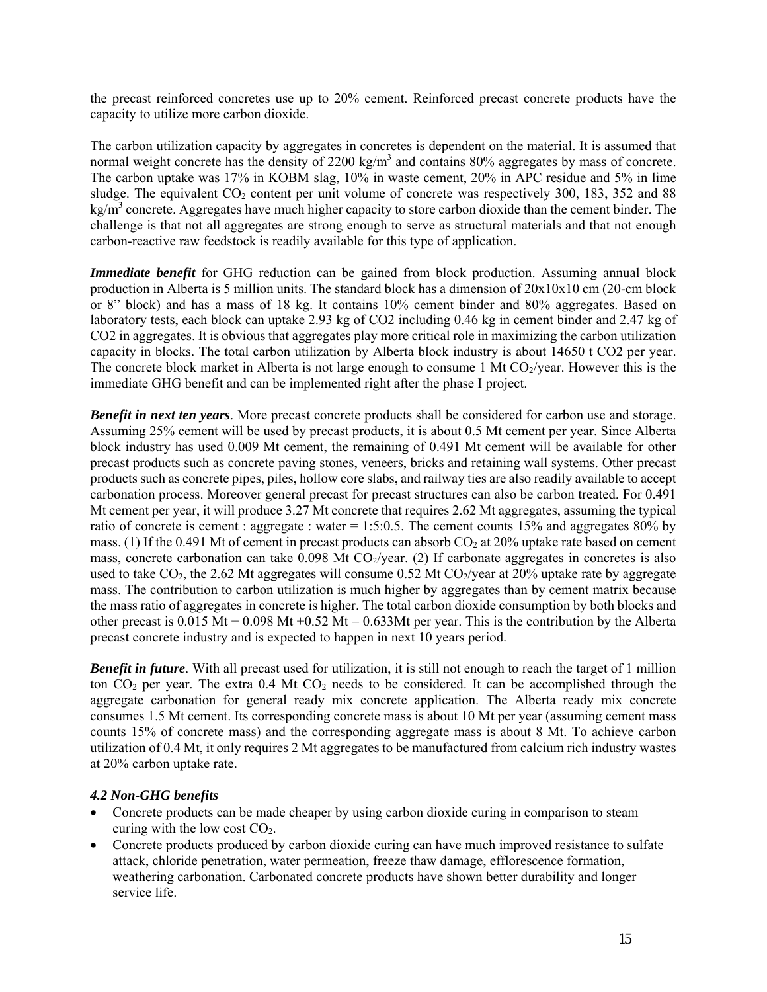the precast reinforced concretes use up to 20% cement. Reinforced precast concrete products have the capacity to utilize more carbon dioxide.

The carbon utilization capacity by aggregates in concretes is dependent on the material. It is assumed that normal weight concrete has the density of 2200 kg/m<sup>3</sup> and contains 80% aggregates by mass of concrete. The carbon uptake was 17% in KOBM slag, 10% in waste cement, 20% in APC residue and 5% in lime sludge. The equivalent  $CO<sub>2</sub>$  content per unit volume of concrete was respectively 300, 183, 352 and 88  $\text{kg/m}^3$  concrete. Aggregates have much higher capacity to store carbon dioxide than the cement binder. The challenge is that not all aggregates are strong enough to serve as structural materials and that not enough carbon-reactive raw feedstock is readily available for this type of application.

*Immediate benefit* for GHG reduction can be gained from block production. Assuming annual block production in Alberta is 5 million units. The standard block has a dimension of 20x10x10 cm (20-cm block or 8" block) and has a mass of 18 kg. It contains 10% cement binder and 80% aggregates. Based on laboratory tests, each block can uptake 2.93 kg of CO2 including 0.46 kg in cement binder and 2.47 kg of CO2 in aggregates. It is obvious that aggregates play more critical role in maximizing the carbon utilization capacity in blocks. The total carbon utilization by Alberta block industry is about 14650 t CO2 per year. The concrete block market in Alberta is not large enough to consume 1 Mt  $CO_2$ /year. However this is the immediate GHG benefit and can be implemented right after the phase I project.

*Benefit in next ten years*. More precast concrete products shall be considered for carbon use and storage. Assuming 25% cement will be used by precast products, it is about 0.5 Mt cement per year. Since Alberta block industry has used 0.009 Mt cement, the remaining of 0.491 Mt cement will be available for other precast products such as concrete paving stones, veneers, bricks and retaining wall systems. Other precast products such as concrete pipes, piles, hollow core slabs, and railway ties are also readily available to accept carbonation process. Moreover general precast for precast structures can also be carbon treated. For 0.491 Mt cement per year, it will produce 3.27 Mt concrete that requires 2.62 Mt aggregates, assuming the typical ratio of concrete is cement : aggregate : water = 1:5:0.5. The cement counts 15% and aggregates 80% by mass. (1) If the 0.491 Mt of cement in precast products can absorb  $CO<sub>2</sub>$  at 20% uptake rate based on cement mass, concrete carbonation can take  $0.098$  Mt CO<sub>2</sub>/year. (2) If carbonate aggregates in concretes is also used to take CO<sub>2</sub>, the 2.62 Mt aggregates will consume 0.52 Mt CO<sub>2</sub>/year at 20% uptake rate by aggregate mass. The contribution to carbon utilization is much higher by aggregates than by cement matrix because the mass ratio of aggregates in concrete is higher. The total carbon dioxide consumption by both blocks and other precast is  $0.015 \text{ Mt} + 0.098 \text{ Mt} + 0.52 \text{ Mt} = 0.633 \text{ Mt}$  per year. This is the contribution by the Alberta precast concrete industry and is expected to happen in next 10 years period.

*Benefit in future*. With all precast used for utilization, it is still not enough to reach the target of 1 million ton  $CO<sub>2</sub>$  per year. The extra 0.4 Mt  $CO<sub>2</sub>$  needs to be considered. It can be accomplished through the aggregate carbonation for general ready mix concrete application. The Alberta ready mix concrete consumes 1.5 Mt cement. Its corresponding concrete mass is about 10 Mt per year (assuming cement mass counts 15% of concrete mass) and the corresponding aggregate mass is about 8 Mt. To achieve carbon utilization of 0.4 Mt, it only requires 2 Mt aggregates to be manufactured from calcium rich industry wastes at 20% carbon uptake rate.

#### *4.2 Non-GHG benefits*

- Concrete products can be made cheaper by using carbon dioxide curing in comparison to steam curing with the low cost  $CO<sub>2</sub>$ .
- Concrete products produced by carbon dioxide curing can have much improved resistance to sulfate attack, chloride penetration, water permeation, freeze thaw damage, efflorescence formation, weathering carbonation. Carbonated concrete products have shown better durability and longer service life.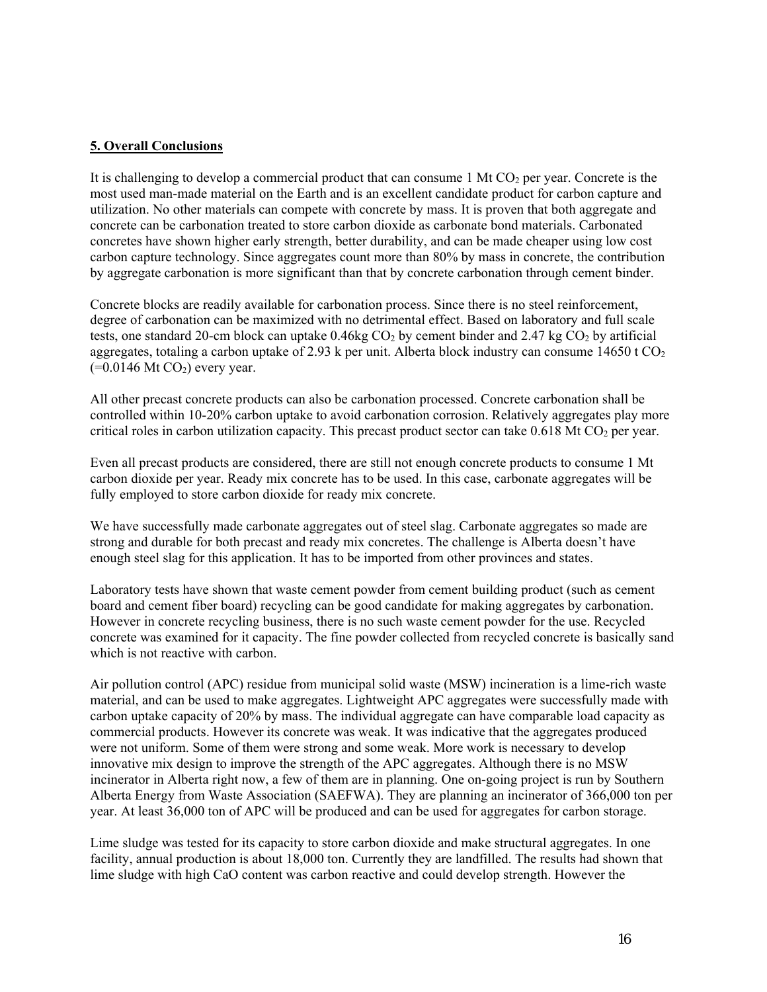### **5. Overall Conclusions**

It is challenging to develop a commercial product that can consume 1 Mt CO<sub>2</sub> per year. Concrete is the most used man-made material on the Earth and is an excellent candidate product for carbon capture and utilization. No other materials can compete with concrete by mass. It is proven that both aggregate and concrete can be carbonation treated to store carbon dioxide as carbonate bond materials. Carbonated concretes have shown higher early strength, better durability, and can be made cheaper using low cost carbon capture technology. Since aggregates count more than 80% by mass in concrete, the contribution by aggregate carbonation is more significant than that by concrete carbonation through cement binder.

Concrete blocks are readily available for carbonation process. Since there is no steel reinforcement, degree of carbonation can be maximized with no detrimental effect. Based on laboratory and full scale tests, one standard 20-cm block can uptake  $0.46$ kg  $CO<sub>2</sub>$  by cement binder and 2.47 kg  $CO<sub>2</sub>$  by artificial aggregates, totaling a carbon uptake of 2.93 k per unit. Alberta block industry can consume 14650 t  $CO<sub>2</sub>$  $(=0.0146 \text{ Mt CO}_2)$  every year.

All other precast concrete products can also be carbonation processed. Concrete carbonation shall be controlled within 10-20% carbon uptake to avoid carbonation corrosion. Relatively aggregates play more critical roles in carbon utilization capacity. This precast product sector can take  $0.618$  Mt CO<sub>2</sub> per year.

Even all precast products are considered, there are still not enough concrete products to consume 1 Mt carbon dioxide per year. Ready mix concrete has to be used. In this case, carbonate aggregates will be fully employed to store carbon dioxide for ready mix concrete.

We have successfully made carbonate aggregates out of steel slag. Carbonate aggregates so made are strong and durable for both precast and ready mix concretes. The challenge is Alberta doesn't have enough steel slag for this application. It has to be imported from other provinces and states.

Laboratory tests have shown that waste cement powder from cement building product (such as cement board and cement fiber board) recycling can be good candidate for making aggregates by carbonation. However in concrete recycling business, there is no such waste cement powder for the use. Recycled concrete was examined for it capacity. The fine powder collected from recycled concrete is basically sand which is not reactive with carbon.

Air pollution control (APC) residue from municipal solid waste (MSW) incineration is a lime-rich waste material, and can be used to make aggregates. Lightweight APC aggregates were successfully made with carbon uptake capacity of 20% by mass. The individual aggregate can have comparable load capacity as commercial products. However its concrete was weak. It was indicative that the aggregates produced were not uniform. Some of them were strong and some weak. More work is necessary to develop innovative mix design to improve the strength of the APC aggregates. Although there is no MSW incinerator in Alberta right now, a few of them are in planning. One on-going project is run by Southern Alberta Energy from Waste Association (SAEFWA). They are planning an incinerator of 366,000 ton per year. At least 36,000 ton of APC will be produced and can be used for aggregates for carbon storage.

Lime sludge was tested for its capacity to store carbon dioxide and make structural aggregates. In one facility, annual production is about 18,000 ton. Currently they are landfilled. The results had shown that lime sludge with high CaO content was carbon reactive and could develop strength. However the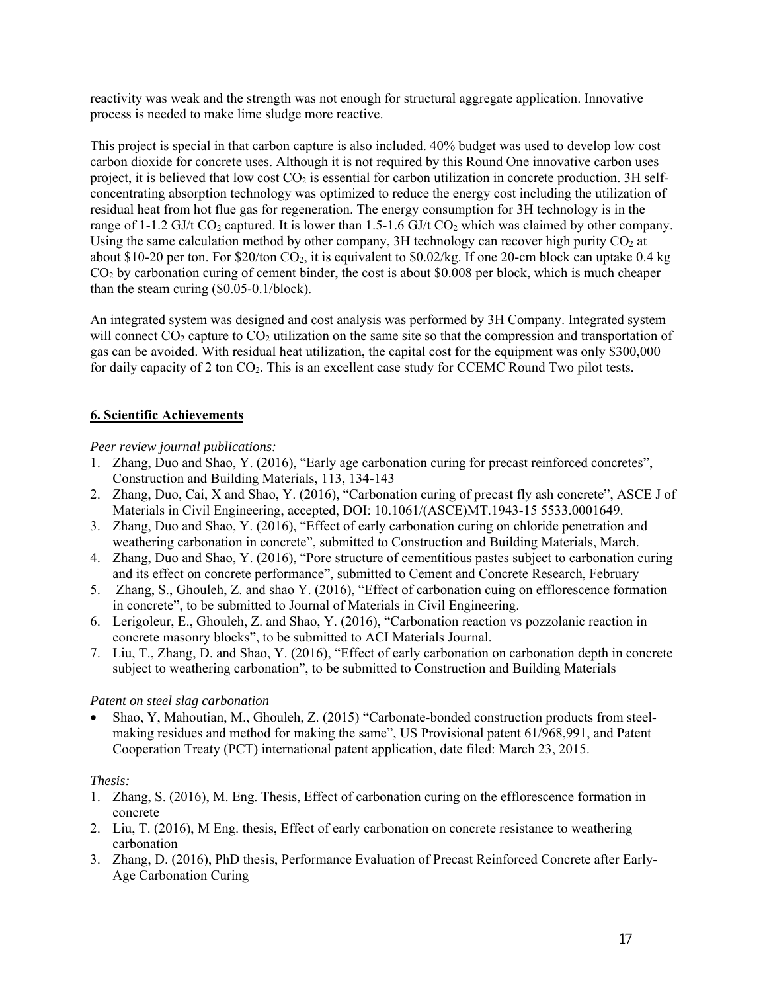reactivity was weak and the strength was not enough for structural aggregate application. Innovative process is needed to make lime sludge more reactive.

This project is special in that carbon capture is also included. 40% budget was used to develop low cost carbon dioxide for concrete uses. Although it is not required by this Round One innovative carbon uses project, it is believed that low cost  $CO<sub>2</sub>$  is essential for carbon utilization in concrete production. 3H selfconcentrating absorption technology was optimized to reduce the energy cost including the utilization of residual heat from hot flue gas for regeneration. The energy consumption for 3H technology is in the range of 1-1.2 GJ/t CO<sub>2</sub> captured. It is lower than 1.5-1.6 GJ/t CO<sub>2</sub> which was claimed by other company. Using the same calculation method by other company, 3H technology can recover high purity  $CO<sub>2</sub>$  at about \$10-20 per ton. For \$20/ton  $CO<sub>2</sub>$ , it is equivalent to \$0.02/kg. If one 20-cm block can uptake 0.4 kg  $CO<sub>2</sub>$  by carbonation curing of cement binder, the cost is about \$0.008 per block, which is much cheaper than the steam curing (\$0.05-0.1/block).

An integrated system was designed and cost analysis was performed by 3H Company. Integrated system will connect  $CO_2$  capture to  $CO_2$  utilization on the same site so that the compression and transportation of gas can be avoided. With residual heat utilization, the capital cost for the equipment was only \$300,000 for daily capacity of 2 ton  $CO<sub>2</sub>$ . This is an excellent case study for CCEMC Round Two pilot tests.

# **6. Scientific Achievements**

### *Peer review journal publications:*

- 1. Zhang, Duo and Shao, Y. (2016), "Early age carbonation curing for precast reinforced concretes", Construction and Building Materials, 113, 134-143
- 2. Zhang, Duo, Cai, X and Shao, Y. (2016), "Carbonation curing of precast fly ash concrete", ASCE J of Materials in Civil Engineering, accepted, DOI: 10.1061/(ASCE)MT.1943-15 5533.0001649.
- 3. Zhang, Duo and Shao, Y. (2016), "Effect of early carbonation curing on chloride penetration and weathering carbonation in concrete", submitted to Construction and Building Materials, March.
- 4. Zhang, Duo and Shao, Y. (2016), "Pore structure of cementitious pastes subject to carbonation curing and its effect on concrete performance", submitted to Cement and Concrete Research, February
- 5. Zhang, S., Ghouleh, Z. and shao Y. (2016), "Effect of carbonation cuing on efflorescence formation in concrete", to be submitted to Journal of Materials in Civil Engineering.
- 6. Lerigoleur, E., Ghouleh, Z. and Shao, Y. (2016), "Carbonation reaction vs pozzolanic reaction in concrete masonry blocks", to be submitted to ACI Materials Journal.
- 7. Liu, T., Zhang, D. and Shao, Y. (2016), "Effect of early carbonation on carbonation depth in concrete subject to weathering carbonation", to be submitted to Construction and Building Materials

# *Patent on steel slag carbonation*

• Shao, Y, Mahoutian, M., Ghouleh, Z. (2015) "Carbonate-bonded construction products from steelmaking residues and method for making the same", US Provisional patent 61/968,991, and Patent Cooperation Treaty (PCT) international patent application, date filed: March 23, 2015.

# *Thesis:*

- 1. Zhang, S. (2016), M. Eng. Thesis, Effect of carbonation curing on the efflorescence formation in concrete
- 2. Liu, T. (2016), M Eng. thesis, Effect of early carbonation on concrete resistance to weathering carbonation
- 3. Zhang, D. (2016), PhD thesis, Performance Evaluation of Precast Reinforced Concrete after Early-Age Carbonation Curing